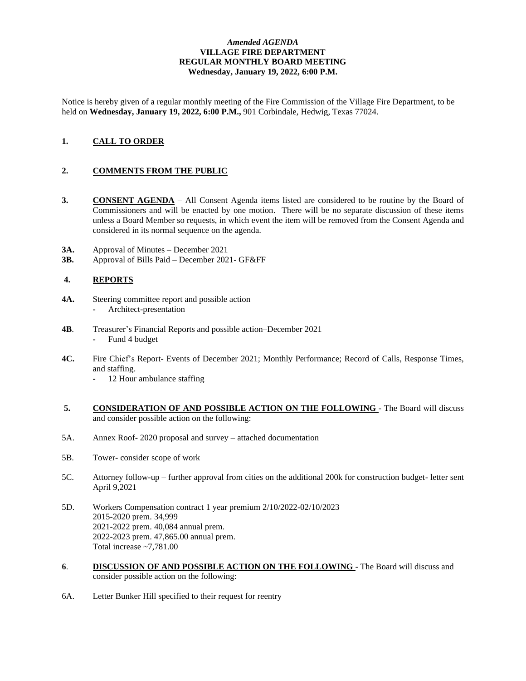## *Amended AGENDA* **VILLAGE FIRE DEPARTMENT REGULAR MONTHLY BOARD MEETING Wednesday, January 19, 2022, 6:00 P.M.**

Notice is hereby given of a regular monthly meeting of the Fire Commission of the Village Fire Department, to be held on **Wednesday, January 19, 2022, 6:00 P.M.,** 901 Corbindale, Hedwig, Texas 77024.

# **1. CALL TO ORDER**

## **2. COMMENTS FROM THE PUBLIC**

- **3. CONSENT AGENDA** All Consent Agenda items listed are considered to be routine by the Board of Commissioners and will be enacted by one motion. There will be no separate discussion of these items unless a Board Member so requests, in which event the item will be removed from the Consent Agenda and considered in its normal sequence on the agenda.
- **3A.** Approval of Minutes December 2021
- **3B.** Approval of Bills Paid December 2021- GF&FF

#### **4. REPORTS**

- **4A.** Steering committee report and possible action **-** Architect-presentation
- **4B**. Treasurer's Financial Reports and possible action–December 2021 **-** Fund 4 budget
- **4C.** Fire Chief's Report- Events of December 2021; Monthly Performance; Record of Calls, Response Times, and staffing.
	- **-** 12 Hour ambulance staffing
- **5. CONSIDERATION OF AND POSSIBLE ACTION ON THE FOLLOWING**  The Board will discuss and consider possible action on the following:
- 5A. Annex Roof- 2020 proposal and survey attached documentation
- 5B. Tower- consider scope of work
- 5C. Attorney follow-up further approval from cities on the additional 200k for construction budget- letter sent April 9,2021
- 5D. Workers Compensation contract 1 year premium 2/10/2022-02/10/2023 2015-2020 prem. 34,999 2021-2022 prem. 40,084 annual prem. 2022-2023 prem. 47,865.00 annual prem. Total increase ~7,781.00
- **6**. **DISCUSSION OF AND POSSIBLE ACTION ON THE FOLLOWING**  The Board will discuss and consider possible action on the following:
- 6A. Letter Bunker Hill specified to their request for reentry